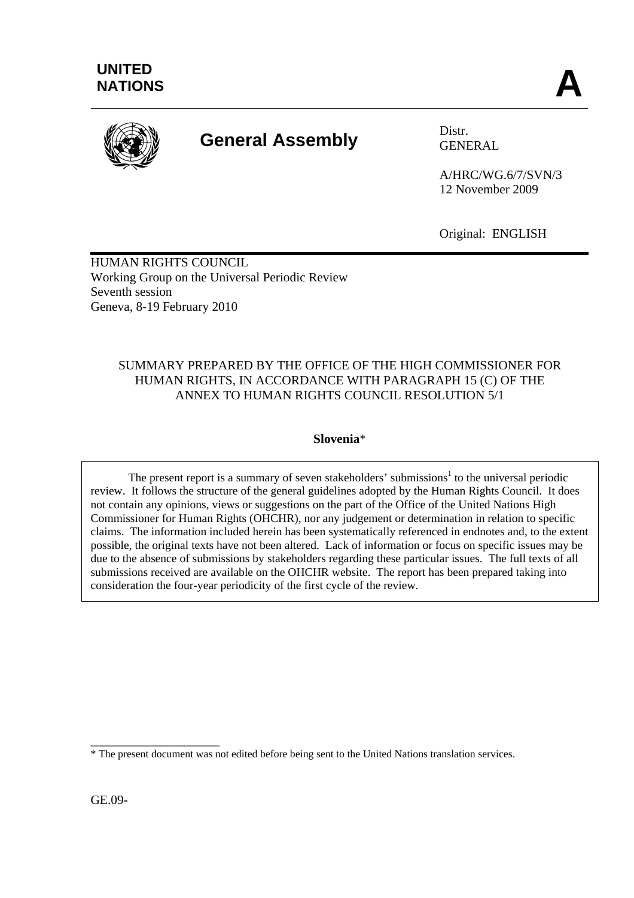

# **General Assembly** Distr.

GENERAL

A/HRC/WG.6/7/SVN/3 12 November 2009

Original: ENGLISH

HUMAN RIGHTS COUNCIL Working Group on the Universal Periodic Review Seventh session Geneva, 8-19 February 2010

## SUMMARY PREPARED BY THE OFFICE OF THE HIGH COMMISSIONER FOR HUMAN RIGHTS, IN ACCORDANCE WITH PARAGRAPH 15 (C) OF THE ANNEX TO HUMAN RIGHTS COUNCIL RESOLUTION 5/1

## **Slovenia**\*

The present report is a summary of seven stakeholders' submissions<sup>1</sup> to the universal periodic review. It follows the structure of the general guidelines adopted by the Human Rights Council. It does not contain any opinions, views or suggestions on the part of the Office of the United Nations High Commissioner for Human Rights (OHCHR), nor any judgement or determination in relation to specific claims. The information included herein has been systematically referenced in endnotes and, to the extent possible, the original texts have not been altered. Lack of information or focus on specific issues may be due to the absence of submissions by stakeholders regarding these particular issues. The full texts of all submissions received are available on the OHCHR website. The report has been prepared taking into consideration the four-year periodicity of the first cycle of the review.

GE.09-

\_\_\_\_\_\_\_\_\_\_\_\_\_\_\_\_\_\_\_\_\_\_ \* The present document was not edited before being sent to the United Nations translation services.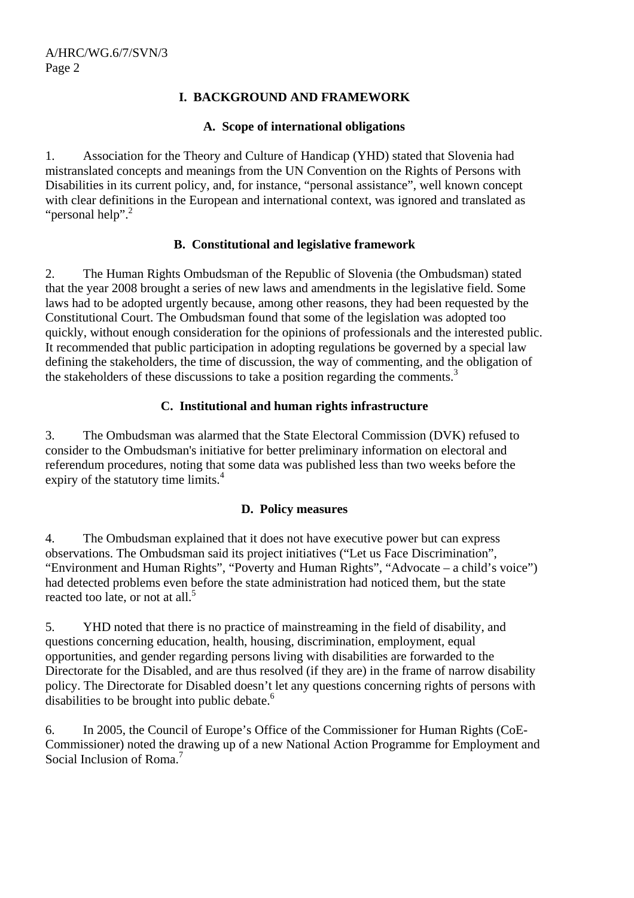## **I. BACKGROUND AND FRAMEWORK**

#### **A. Scope of international obligations**

1. Association for the Theory and Culture of Handicap (YHD) stated that Slovenia had mistranslated concepts and meanings from the UN Convention on the Rights of Persons with Disabilities in its current policy, and, for instance, "personal assistance", well known concept with clear definitions in the European and international context, was ignored and translated as "personal help".<sup>2</sup>

## **B. Constitutional and legislative framework**

2. The Human Rights Ombudsman of the Republic of Slovenia (the Ombudsman) stated that the year 2008 brought a series of new laws and amendments in the legislative field. Some laws had to be adopted urgently because, among other reasons, they had been requested by the Constitutional Court. The Ombudsman found that some of the legislation was adopted too quickly, without enough consideration for the opinions of professionals and the interested public. It recommended that public participation in adopting regulations be governed by a special law defining the stakeholders, the time of discussion, the way of commenting, and the obligation of the stakeholders of these discussions to take a position regarding the comments.<sup>3</sup>

## **C. Institutional and human rights infrastructure**

3. The Ombudsman was alarmed that the State Electoral Commission (DVK) refused to consider to the Ombudsman's initiative for better preliminary information on electoral and referendum procedures, noting that some data was published less than two weeks before the expiry of the statutory time limits.<sup>4</sup>

## **D. Policy measures**

4. The Ombudsman explained that it does not have executive power but can express observations. The Ombudsman said its project initiatives ("Let us Face Discrimination", "Environment and Human Rights", "Poverty and Human Rights", "Advocate – a child's voice") had detected problems even before the state administration had noticed them, but the state reacted too late, or not at all.<sup>5</sup>

5. YHD noted that there is no practice of mainstreaming in the field of disability, and questions concerning education, health, housing, discrimination, employment, equal opportunities, and gender regarding persons living with disabilities are forwarded to the Directorate for the Disabled, and are thus resolved (if they are) in the frame of narrow disability policy. The Directorate for Disabled doesn't let any questions concerning rights of persons with disabilities to be brought into public debate.<sup>6</sup>

6. In 2005, the Council of Europe's Office of the Commissioner for Human Rights (CoE-Commissioner) noted the drawing up of a new National Action Programme for Employment and Social Inclusion of Roma.<sup>7</sup>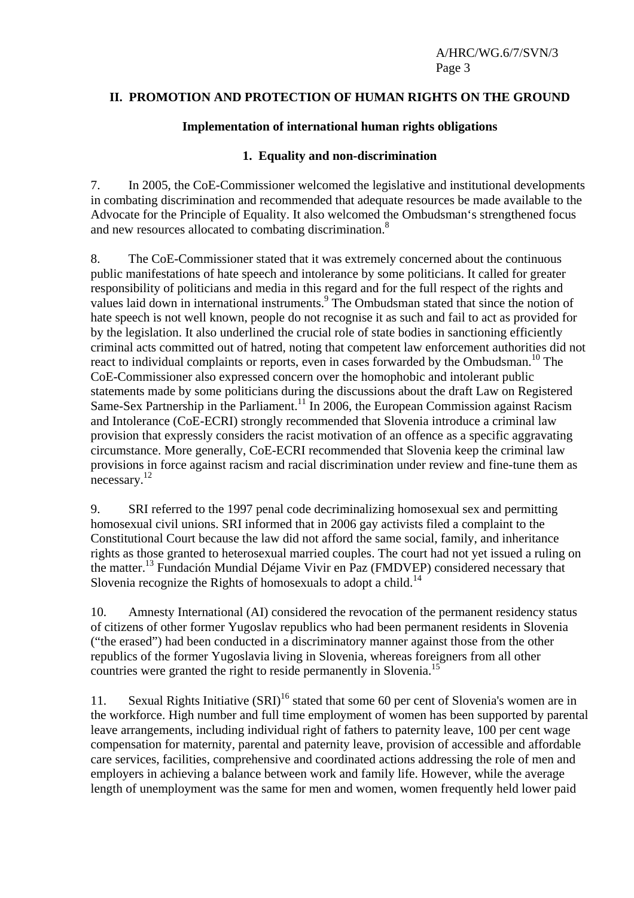#### **II. PROMOTION AND PROTECTION OF HUMAN RIGHTS ON THE GROUND**

#### **Implementation of international human rights obligations**

#### **1. Equality and non-discrimination**

7. In 2005, the CoE-Commissioner welcomed the legislative and institutional developments in combating discrimination and recommended that adequate resources be made available to the Advocate for the Principle of Equality. It also welcomed the Ombudsman's strengthened focus and new resources allocated to combating discrimination.<sup>8</sup>

8. The CoE-Commissioner stated that it was extremely concerned about the continuous public manifestations of hate speech and intolerance by some politicians. It called for greater responsibility of politicians and media in this regard and for the full respect of the rights and values laid down in international instruments.<sup>9</sup> The Ombudsman stated that since the notion of hate speech is not well known, people do not recognise it as such and fail to act as provided for by the legislation. It also underlined the crucial role of state bodies in sanctioning efficiently criminal acts committed out of hatred, noting that competent law enforcement authorities did not react to individual complaints or reports, even in cases forwarded by the Ombudsman.<sup>10</sup> The CoE-Commissioner also expressed concern over the homophobic and intolerant public statements made by some politicians during the discussions about the draft Law on Registered Same-Sex Partnership in the Parliament.<sup>11</sup> In 2006, the European Commission against Racism and Intolerance (CoE-ECRI) strongly recommended that Slovenia introduce a criminal law provision that expressly considers the racist motivation of an offence as a specific aggravating circumstance. More generally, CoE-ECRI recommended that Slovenia keep the criminal law provisions in force against racism and racial discrimination under review and fine-tune them as necessary.<sup>12</sup>

9. SRI referred to the 1997 penal code decriminalizing homosexual sex and permitting homosexual civil unions. SRI informed that in 2006 gay activists filed a complaint to the Constitutional Court because the law did not afford the same social, family, and inheritance rights as those granted to heterosexual married couples. The court had not yet issued a ruling on the matter.13 Fundación Mundial Déjame Vivir en Paz (FMDVEP) considered necessary that Slovenia recognize the Rights of homosexuals to adopt a child.<sup>14</sup>

10. Amnesty International (AI) considered the revocation of the permanent residency status of citizens of other former Yugoslav republics who had been permanent residents in Slovenia ("the erased") had been conducted in a discriminatory manner against those from the other republics of the former Yugoslavia living in Slovenia, whereas foreigners from all other countries were granted the right to reside permanently in Slovenia.<sup>15</sup>

11. Sexual Rights Initiative  $(SRI)^{16}$  stated that some 60 per cent of Slovenia's women are in the workforce. High number and full time employment of women has been supported by parental leave arrangements, including individual right of fathers to paternity leave, 100 per cent wage compensation for maternity, parental and paternity leave, provision of accessible and affordable care services, facilities, comprehensive and coordinated actions addressing the role of men and employers in achieving a balance between work and family life. However, while the average length of unemployment was the same for men and women, women frequently held lower paid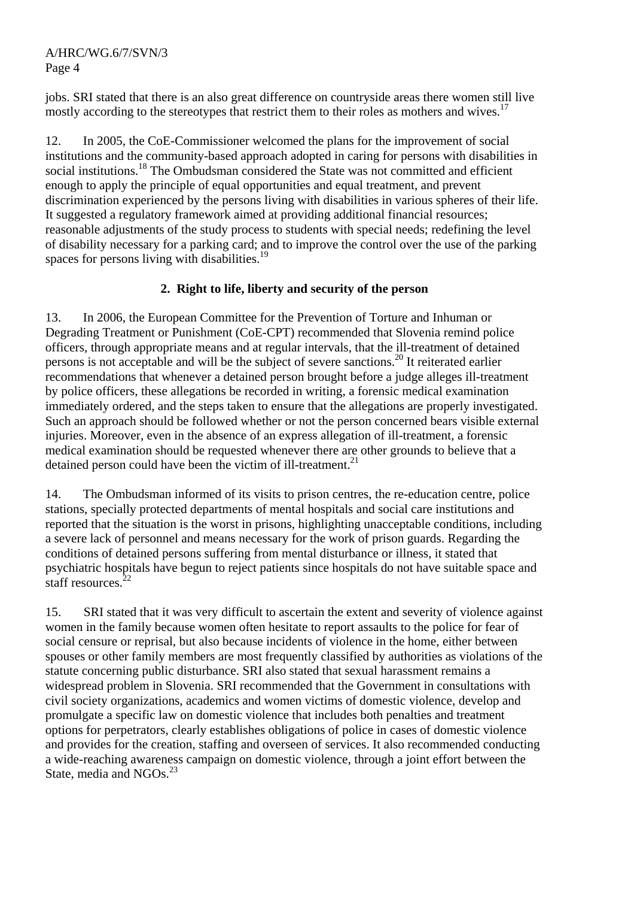jobs. SRI stated that there is an also great difference on countryside areas there women still live mostly according to the stereotypes that restrict them to their roles as mothers and wives.<sup>17</sup>

12. In 2005, the CoE-Commissioner welcomed the plans for the improvement of social institutions and the community-based approach adopted in caring for persons with disabilities in social institutions.<sup>18</sup> The Ombudsman considered the State was not committed and efficient enough to apply the principle of equal opportunities and equal treatment, and prevent discrimination experienced by the persons living with disabilities in various spheres of their life. It suggested a regulatory framework aimed at providing additional financial resources; reasonable adjustments of the study process to students with special needs; redefining the level of disability necessary for a parking card; and to improve the control over the use of the parking spaces for persons living with disabilities.<sup>19</sup>

## **2. Right to life, liberty and security of the person**

13. In 2006, the European Committee for the Prevention of Torture and Inhuman or Degrading Treatment or Punishment (CoE-CPT) recommended that Slovenia remind police officers, through appropriate means and at regular intervals, that the ill-treatment of detained persons is not acceptable and will be the subject of severe sanctions.20 It reiterated earlier recommendations that whenever a detained person brought before a judge alleges ill-treatment by police officers, these allegations be recorded in writing, a forensic medical examination immediately ordered, and the steps taken to ensure that the allegations are properly investigated. Such an approach should be followed whether or not the person concerned bears visible external injuries. Moreover, even in the absence of an express allegation of ill-treatment, a forensic medical examination should be requested whenever there are other grounds to believe that a detained person could have been the victim of ill-treatment.<sup>21</sup>

14. The Ombudsman informed of its visits to prison centres, the re-education centre, police stations, specially protected departments of mental hospitals and social care institutions and reported that the situation is the worst in prisons, highlighting unacceptable conditions, including a severe lack of personnel and means necessary for the work of prison guards. Regarding the conditions of detained persons suffering from mental disturbance or illness, it stated that psychiatric hospitals have begun to reject patients since hospitals do not have suitable space and staff resources. $22$ 

15. SRI stated that it was very difficult to ascertain the extent and severity of violence against women in the family because women often hesitate to report assaults to the police for fear of social censure or reprisal, but also because incidents of violence in the home, either between spouses or other family members are most frequently classified by authorities as violations of the statute concerning public disturbance. SRI also stated that sexual harassment remains a widespread problem in Slovenia. SRI recommended that the Government in consultations with civil society organizations, academics and women victims of domestic violence, develop and promulgate a specific law on domestic violence that includes both penalties and treatment options for perpetrators, clearly establishes obligations of police in cases of domestic violence and provides for the creation, staffing and overseen of services. It also recommended conducting a wide-reaching awareness campaign on domestic violence, through a joint effort between the State, media and NGOs.<sup>23</sup>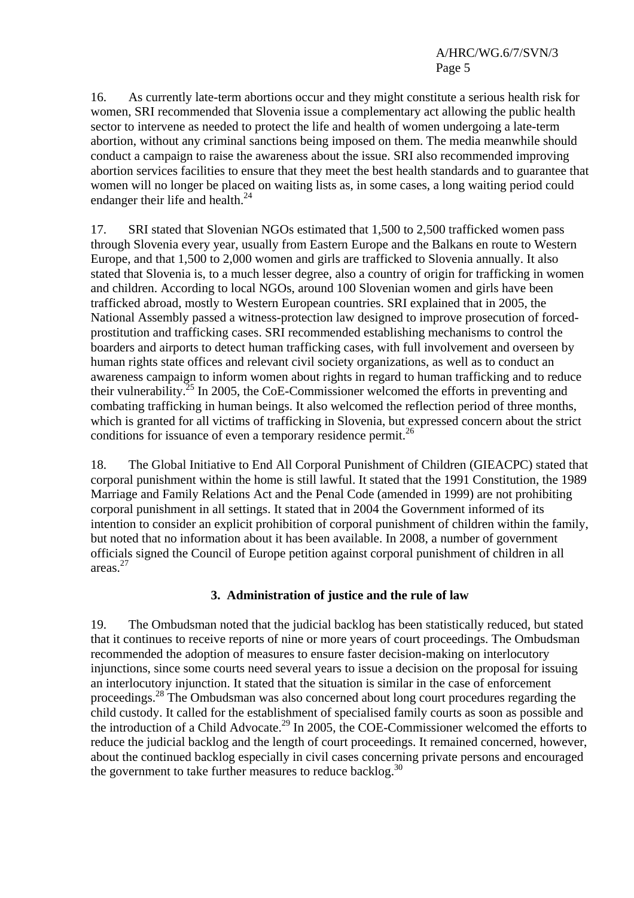16. As currently late-term abortions occur and they might constitute a serious health risk for women, SRI recommended that Slovenia issue a complementary act allowing the public health sector to intervene as needed to protect the life and health of women undergoing a late-term abortion, without any criminal sanctions being imposed on them. The media meanwhile should conduct a campaign to raise the awareness about the issue. SRI also recommended improving abortion services facilities to ensure that they meet the best health standards and to guarantee that women will no longer be placed on waiting lists as, in some cases, a long waiting period could endanger their life and health. $^{24}$ 

17. SRI stated that Slovenian NGOs estimated that 1,500 to 2,500 trafficked women pass through Slovenia every year, usually from Eastern Europe and the Balkans en route to Western Europe, and that 1,500 to 2,000 women and girls are trafficked to Slovenia annually. It also stated that Slovenia is, to a much lesser degree, also a country of origin for trafficking in women and children. According to local NGOs, around 100 Slovenian women and girls have been trafficked abroad, mostly to Western European countries. SRI explained that in 2005, the National Assembly passed a witness-protection law designed to improve prosecution of forcedprostitution and trafficking cases. SRI recommended establishing mechanisms to control the boarders and airports to detect human trafficking cases, with full involvement and overseen by human rights state offices and relevant civil society organizations, as well as to conduct an awareness campaign to inform women about rights in regard to human trafficking and to reduce their vulnerability.<sup>25</sup> In 2005, the CoE-Commissioner welcomed the efforts in preventing and combating trafficking in human beings. It also welcomed the reflection period of three months, which is granted for all victims of trafficking in Slovenia, but expressed concern about the strict conditions for issuance of even a temporary residence permit.<sup>26</sup>

18. The Global Initiative to End All Corporal Punishment of Children (GIEACPC) stated that corporal punishment within the home is still lawful. It stated that the 1991 Constitution, the 1989 Marriage and Family Relations Act and the Penal Code (amended in 1999) are not prohibiting corporal punishment in all settings. It stated that in 2004 the Government informed of its intention to consider an explicit prohibition of corporal punishment of children within the family, but noted that no information about it has been available. In 2008, a number of government officials signed the Council of Europe petition against corporal punishment of children in all areas.27

## **3. Administration of justice and the rule of law**

19. The Ombudsman noted that the judicial backlog has been statistically reduced, but stated that it continues to receive reports of nine or more years of court proceedings. The Ombudsman recommended the adoption of measures to ensure faster decision-making on interlocutory injunctions, since some courts need several years to issue a decision on the proposal for issuing an interlocutory injunction. It stated that the situation is similar in the case of enforcement proceedings.<sup>28</sup> The Ombudsman was also concerned about long court procedures regarding the child custody. It called for the establishment of specialised family courts as soon as possible and the introduction of a Child Advocate.<sup>29</sup> In 2005, the COE-Commissioner welcomed the efforts to reduce the judicial backlog and the length of court proceedings. It remained concerned, however, about the continued backlog especially in civil cases concerning private persons and encouraged the government to take further measures to reduce backlog.<sup>30</sup>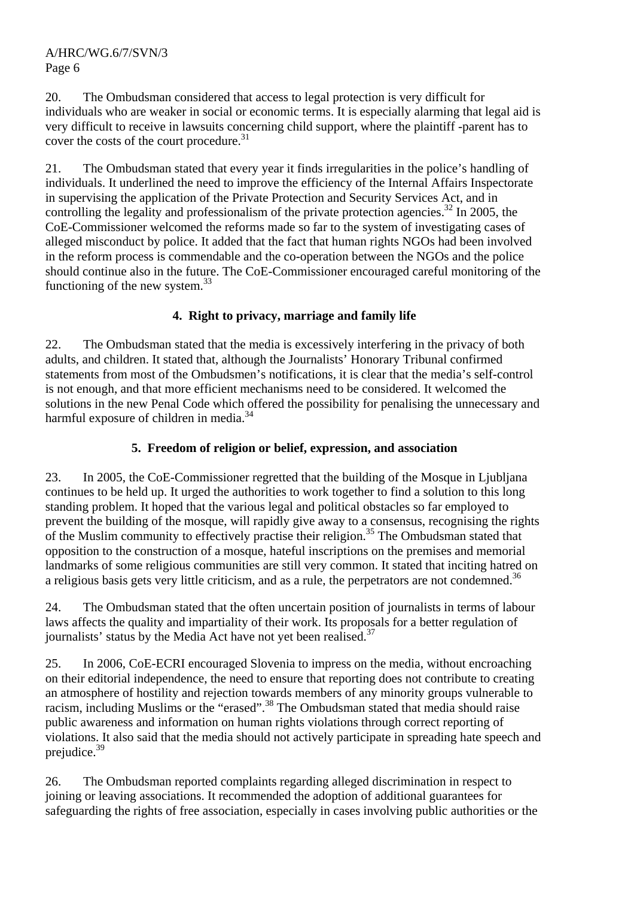20. The Ombudsman considered that access to legal protection is very difficult for individuals who are weaker in social or economic terms. It is especially alarming that legal aid is very difficult to receive in lawsuits concerning child support, where the plaintiff -parent has to cover the costs of the court procedure.<sup>31</sup>

21. The Ombudsman stated that every year it finds irregularities in the police's handling of individuals. It underlined the need to improve the efficiency of the Internal Affairs Inspectorate in supervising the application of the Private Protection and Security Services Act, and in controlling the legality and professionalism of the private protection agencies.<sup>32</sup> In 2005, the CoE-Commissioner welcomed the reforms made so far to the system of investigating cases of alleged misconduct by police. It added that the fact that human rights NGOs had been involved in the reform process is commendable and the co-operation between the NGOs and the police should continue also in the future. The CoE-Commissioner encouraged careful monitoring of the functioning of the new system.<sup>33</sup>

## **4. Right to privacy, marriage and family life**

22. The Ombudsman stated that the media is excessively interfering in the privacy of both adults, and children. It stated that, although the Journalists' Honorary Tribunal confirmed statements from most of the Ombudsmen's notifications, it is clear that the media's self-control is not enough, and that more efficient mechanisms need to be considered. It welcomed the solutions in the new Penal Code which offered the possibility for penalising the unnecessary and harmful exposure of children in media. $34$ 

## **5. Freedom of religion or belief, expression, and association**

23. In 2005, the CoE-Commissioner regretted that the building of the Mosque in Ljubljana continues to be held up. It urged the authorities to work together to find a solution to this long standing problem. It hoped that the various legal and political obstacles so far employed to prevent the building of the mosque, will rapidly give away to a consensus, recognising the rights of the Muslim community to effectively practise their religion.<sup>35</sup> The Ombudsman stated that opposition to the construction of a mosque, hateful inscriptions on the premises and memorial landmarks of some religious communities are still very common. It stated that inciting hatred on a religious basis gets very little criticism, and as a rule, the perpetrators are not condemned.<sup>36</sup>

24. The Ombudsman stated that the often uncertain position of journalists in terms of labour laws affects the quality and impartiality of their work. Its proposals for a better regulation of journalists' status by the Media Act have not yet been realised.<sup>37</sup>

25. In 2006, CoE-ECRI encouraged Slovenia to impress on the media, without encroaching on their editorial independence, the need to ensure that reporting does not contribute to creating an atmosphere of hostility and rejection towards members of any minority groups vulnerable to racism, including Muslims or the "erased".38 The Ombudsman stated that media should raise public awareness and information on human rights violations through correct reporting of violations. It also said that the media should not actively participate in spreading hate speech and prejudice.39

26. The Ombudsman reported complaints regarding alleged discrimination in respect to joining or leaving associations. It recommended the adoption of additional guarantees for safeguarding the rights of free association, especially in cases involving public authorities or the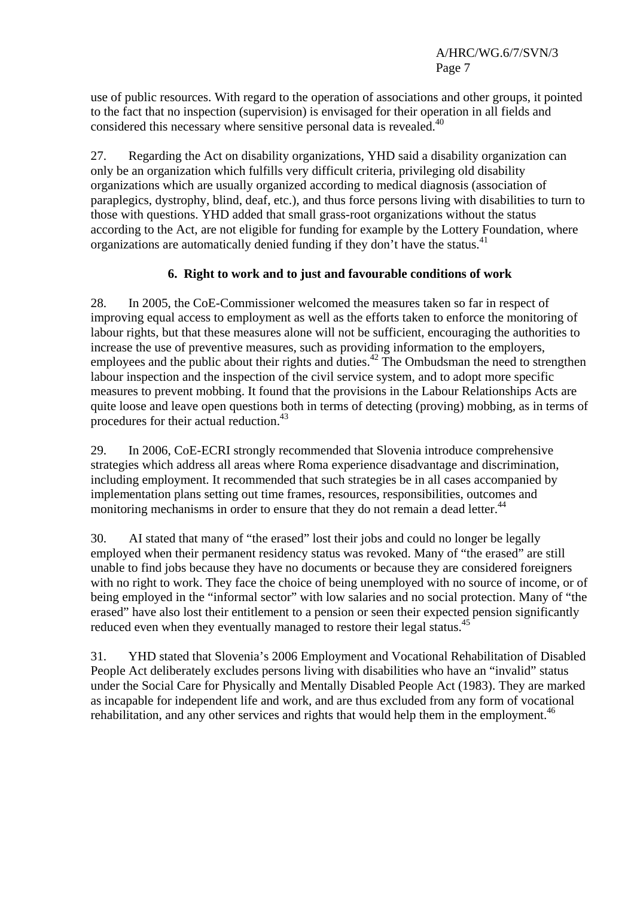use of public resources. With regard to the operation of associations and other groups, it pointed to the fact that no inspection (supervision) is envisaged for their operation in all fields and considered this necessary where sensitive personal data is revealed.<sup>40</sup>

27. Regarding the Act on disability organizations, YHD said a disability organization can only be an organization which fulfills very difficult criteria, privileging old disability organizations which are usually organized according to medical diagnosis (association of paraplegics, dystrophy, blind, deaf, etc.), and thus force persons living with disabilities to turn to those with questions. YHD added that small grass-root organizations without the status according to the Act, are not eligible for funding for example by the Lottery Foundation, where organizations are automatically denied funding if they don't have the status.<sup>41</sup>

## **6. Right to work and to just and favourable conditions of work**

28. In 2005, the CoE-Commissioner welcomed the measures taken so far in respect of improving equal access to employment as well as the efforts taken to enforce the monitoring of labour rights, but that these measures alone will not be sufficient, encouraging the authorities to increase the use of preventive measures, such as providing information to the employers, employees and the public about their rights and duties.<sup>42</sup> The Ombudsman the need to strengthen labour inspection and the inspection of the civil service system, and to adopt more specific measures to prevent mobbing. It found that the provisions in the Labour Relationships Acts are quite loose and leave open questions both in terms of detecting (proving) mobbing, as in terms of procedures for their actual reduction.<sup>43</sup>

29. In 2006, CoE-ECRI strongly recommended that Slovenia introduce comprehensive strategies which address all areas where Roma experience disadvantage and discrimination, including employment. It recommended that such strategies be in all cases accompanied by implementation plans setting out time frames, resources, responsibilities, outcomes and monitoring mechanisms in order to ensure that they do not remain a dead letter.<sup>44</sup>

30. AI stated that many of "the erased" lost their jobs and could no longer be legally employed when their permanent residency status was revoked. Many of "the erased" are still unable to find jobs because they have no documents or because they are considered foreigners with no right to work. They face the choice of being unemployed with no source of income, or of being employed in the "informal sector" with low salaries and no social protection. Many of "the erased" have also lost their entitlement to a pension or seen their expected pension significantly reduced even when they eventually managed to restore their legal status.<sup>45</sup>

31. YHD stated that Slovenia's 2006 Employment and Vocational Rehabilitation of Disabled People Act deliberately excludes persons living with disabilities who have an "invalid" status under the Social Care for Physically and Mentally Disabled People Act (1983). They are marked as incapable for independent life and work, and are thus excluded from any form of vocational rehabilitation, and any other services and rights that would help them in the employment.<sup>46</sup>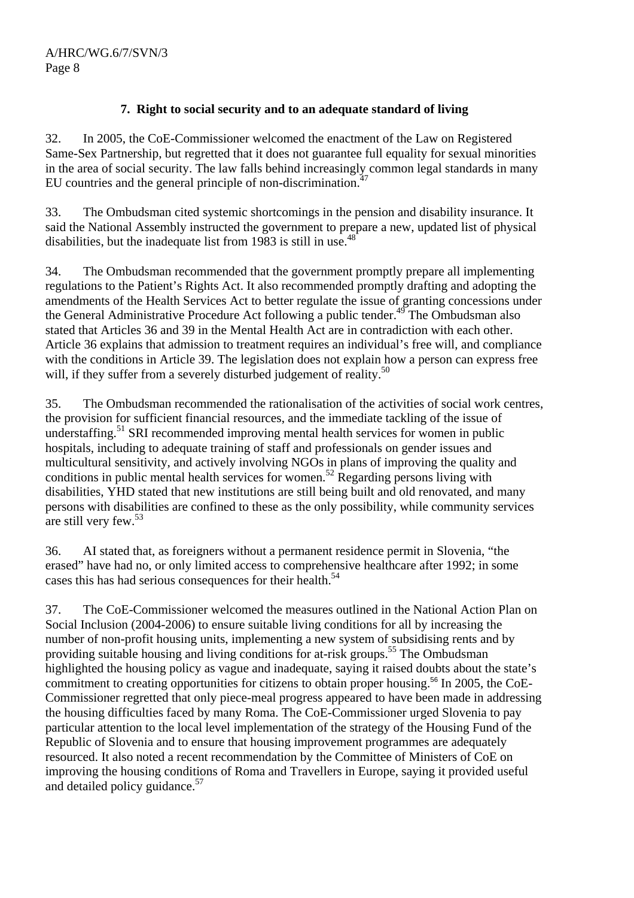## **7. Right to social security and to an adequate standard of living**

32. In 2005, the CoE-Commissioner welcomed the enactment of the Law on Registered Same-Sex Partnership, but regretted that it does not guarantee full equality for sexual minorities in the area of social security. The law falls behind increasingly common legal standards in many EU countries and the general principle of non-discrimination.<sup>47</sup>

33. The Ombudsman cited systemic shortcomings in the pension and disability insurance. It said the National Assembly instructed the government to prepare a new, updated list of physical disabilities, but the inadequate list from 1983 is still in use.<sup>48</sup>

34. The Ombudsman recommended that the government promptly prepare all implementing regulations to the Patient's Rights Act. It also recommended promptly drafting and adopting the amendments of the Health Services Act to better regulate the issue of granting concessions under the General Administrative Procedure Act following a public tender.49 The Ombudsman also stated that Articles 36 and 39 in the Mental Health Act are in contradiction with each other. Article 36 explains that admission to treatment requires an individual's free will, and compliance with the conditions in Article 39. The legislation does not explain how a person can express free will, if they suffer from a severely disturbed judgement of reality.<sup>50</sup>

35. The Ombudsman recommended the rationalisation of the activities of social work centres, the provision for sufficient financial resources, and the immediate tackling of the issue of understaffing.<sup>51</sup> SRI recommended improving mental health services for women in public hospitals, including to adequate training of staff and professionals on gender issues and multicultural sensitivity, and actively involving NGOs in plans of improving the quality and conditions in public mental health services for women.<sup>52</sup> Regarding persons living with disabilities, YHD stated that new institutions are still being built and old renovated, and many persons with disabilities are confined to these as the only possibility, while community services are still very few.<sup>53</sup>

36. AI stated that, as foreigners without a permanent residence permit in Slovenia, "the erased" have had no, or only limited access to comprehensive healthcare after 1992; in some cases this has had serious consequences for their health.<sup>54</sup>

37. The CoE-Commissioner welcomed the measures outlined in the National Action Plan on Social Inclusion (2004-2006) to ensure suitable living conditions for all by increasing the number of non-profit housing units, implementing a new system of subsidising rents and by providing suitable housing and living conditions for at-risk groups.<sup>55</sup> The Ombudsman highlighted the housing policy as vague and inadequate, saying it raised doubts about the state's commitment to creating opportunities for citizens to obtain proper housing.<sup>56</sup> In 2005, the CoE-Commissioner regretted that only piece-meal progress appeared to have been made in addressing the housing difficulties faced by many Roma. The CoE-Commissioner urged Slovenia to pay particular attention to the local level implementation of the strategy of the Housing Fund of the Republic of Slovenia and to ensure that housing improvement programmes are adequately resourced. It also noted a recent recommendation by the Committee of Ministers of CoE on improving the housing conditions of Roma and Travellers in Europe, saying it provided useful and detailed policy guidance.<sup>57</sup>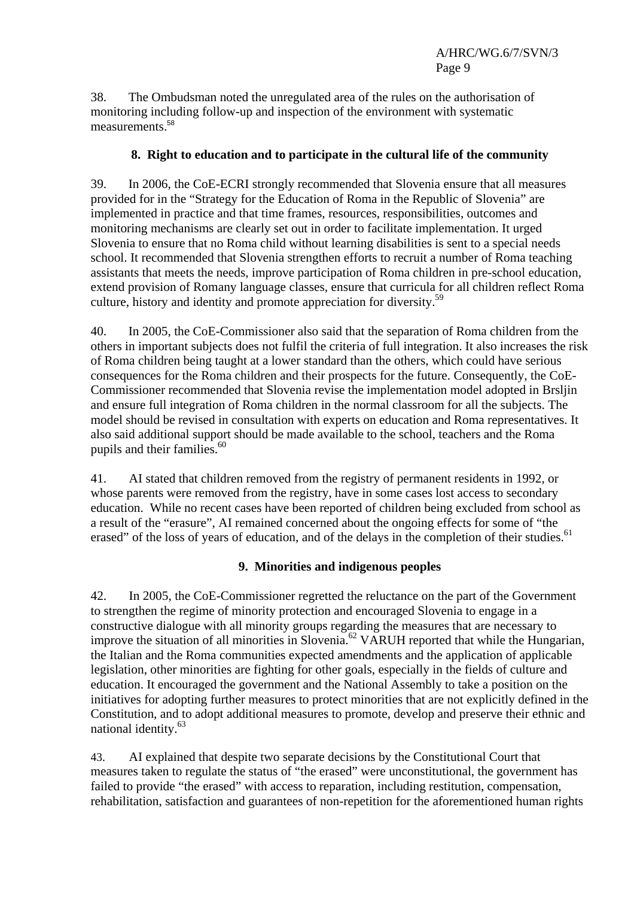38. The Ombudsman noted the unregulated area of the rules on the authorisation of monitoring including follow-up and inspection of the environment with systematic measurements<sup>58</sup>

## **8. Right to education and to participate in the cultural life of the community**

39. In 2006, the CoE-ECRI strongly recommended that Slovenia ensure that all measures provided for in the "Strategy for the Education of Roma in the Republic of Slovenia" are implemented in practice and that time frames, resources, responsibilities, outcomes and monitoring mechanisms are clearly set out in order to facilitate implementation. It urged Slovenia to ensure that no Roma child without learning disabilities is sent to a special needs school. It recommended that Slovenia strengthen efforts to recruit a number of Roma teaching assistants that meets the needs, improve participation of Roma children in pre-school education, extend provision of Romany language classes, ensure that curricula for all children reflect Roma culture, history and identity and promote appreciation for diversity.<sup>59</sup>

40. In 2005, the CoE-Commissioner also said that the separation of Roma children from the others in important subjects does not fulfil the criteria of full integration. It also increases the risk of Roma children being taught at a lower standard than the others, which could have serious consequences for the Roma children and their prospects for the future. Consequently, the CoE-Commissioner recommended that Slovenia revise the implementation model adopted in Brsljin and ensure full integration of Roma children in the normal classroom for all the subjects. The model should be revised in consultation with experts on education and Roma representatives. It also said additional support should be made available to the school, teachers and the Roma pupils and their families.<sup>60</sup>

41. AI stated that children removed from the registry of permanent residents in 1992, or whose parents were removed from the registry, have in some cases lost access to secondary education. While no recent cases have been reported of children being excluded from school as a result of the "erasure", AI remained concerned about the ongoing effects for some of "the erased" of the loss of years of education, and of the delays in the completion of their studies.<sup>61</sup>

## **9. Minorities and indigenous peoples**

42. In 2005, the CoE-Commissioner regretted the reluctance on the part of the Government to strengthen the regime of minority protection and encouraged Slovenia to engage in a constructive dialogue with all minority groups regarding the measures that are necessary to improve the situation of all minorities in Slovenia.<sup>62</sup> VARUH reported that while the Hungarian, the Italian and the Roma communities expected amendments and the application of applicable legislation, other minorities are fighting for other goals, especially in the fields of culture and education. It encouraged the government and the National Assembly to take a position on the initiatives for adopting further measures to protect minorities that are not explicitly defined in the Constitution, and to adopt additional measures to promote, develop and preserve their ethnic and national identity.<sup>63</sup>

43. AI explained that despite two separate decisions by the Constitutional Court that measures taken to regulate the status of "the erased" were unconstitutional, the government has failed to provide "the erased" with access to reparation, including restitution, compensation, rehabilitation, satisfaction and guarantees of non-repetition for the aforementioned human rights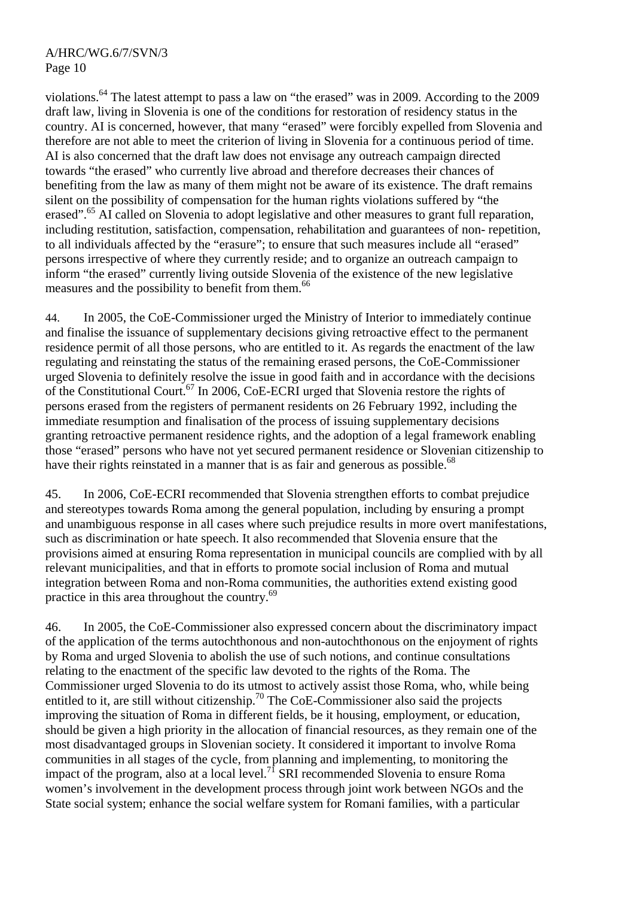violations.<sup>64</sup> The latest attempt to pass a law on "the erased" was in 2009. According to the 2009 draft law, living in Slovenia is one of the conditions for restoration of residency status in the country. AI is concerned, however, that many "erased" were forcibly expelled from Slovenia and therefore are not able to meet the criterion of living in Slovenia for a continuous period of time. AI is also concerned that the draft law does not envisage any outreach campaign directed towards "the erased" who currently live abroad and therefore decreases their chances of benefiting from the law as many of them might not be aware of its existence. The draft remains silent on the possibility of compensation for the human rights violations suffered by "the erased".<sup>65</sup> AI called on Slovenia to adopt legislative and other measures to grant full reparation, including restitution, satisfaction, compensation, rehabilitation and guarantees of non- repetition, to all individuals affected by the "erasure"; to ensure that such measures include all "erased" persons irrespective of where they currently reside; and to organize an outreach campaign to inform "the erased" currently living outside Slovenia of the existence of the new legislative measures and the possibility to benefit from them.<sup>66</sup>

44. In 2005, the CoE-Commissioner urged the Ministry of Interior to immediately continue and finalise the issuance of supplementary decisions giving retroactive effect to the permanent residence permit of all those persons, who are entitled to it. As regards the enactment of the law regulating and reinstating the status of the remaining erased persons, the CoE-Commissioner urged Slovenia to definitely resolve the issue in good faith and in accordance with the decisions of the Constitutional Court.<sup>67</sup> In 2006, CoE-ECRI urged that Slovenia restore the rights of persons erased from the registers of permanent residents on 26 February 1992, including the immediate resumption and finalisation of the process of issuing supplementary decisions granting retroactive permanent residence rights, and the adoption of a legal framework enabling those "erased" persons who have not yet secured permanent residence or Slovenian citizenship to have their rights reinstated in a manner that is as fair and generous as possible.<sup>68</sup>

45. In 2006, CoE-ECRI recommended that Slovenia strengthen efforts to combat prejudice and stereotypes towards Roma among the general population, including by ensuring a prompt and unambiguous response in all cases where such prejudice results in more overt manifestations, such as discrimination or hate speech. It also recommended that Slovenia ensure that the provisions aimed at ensuring Roma representation in municipal councils are complied with by all relevant municipalities, and that in efforts to promote social inclusion of Roma and mutual integration between Roma and non-Roma communities, the authorities extend existing good practice in this area throughout the country.<sup>69</sup>

46. In 2005, the CoE-Commissioner also expressed concern about the discriminatory impact of the application of the terms autochthonous and non-autochthonous on the enjoyment of rights by Roma and urged Slovenia to abolish the use of such notions, and continue consultations relating to the enactment of the specific law devoted to the rights of the Roma. The Commissioner urged Slovenia to do its utmost to actively assist those Roma, who, while being entitled to it, are still without citizenship.<sup>70</sup> The CoE-Commissioner also said the projects improving the situation of Roma in different fields, be it housing, employment, or education, should be given a high priority in the allocation of financial resources, as they remain one of the most disadvantaged groups in Slovenian society. It considered it important to involve Roma communities in all stages of the cycle, from planning and implementing, to monitoring the impact of the program, also at a local level.<sup>71</sup> SRI recommended Slovenia to ensure Roma women's involvement in the development process through joint work between NGOs and the State social system; enhance the social welfare system for Romani families, with a particular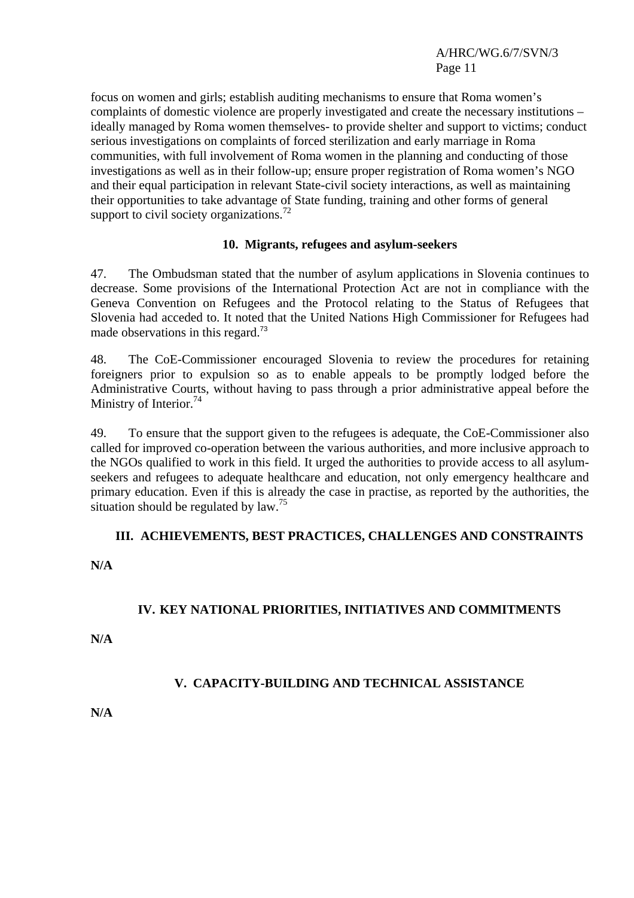focus on women and girls; establish auditing mechanisms to ensure that Roma women's complaints of domestic violence are properly investigated and create the necessary institutions – ideally managed by Roma women themselves- to provide shelter and support to victims; conduct serious investigations on complaints of forced sterilization and early marriage in Roma communities, with full involvement of Roma women in the planning and conducting of those investigations as well as in their follow-up; ensure proper registration of Roma women's NGO and their equal participation in relevant State-civil society interactions, as well as maintaining their opportunities to take advantage of State funding, training and other forms of general support to civil society organizations.<sup>72</sup>

#### **10. Migrants, refugees and asylum-seekers**

47. The Ombudsman stated that the number of asylum applications in Slovenia continues to decrease. Some provisions of the International Protection Act are not in compliance with the Geneva Convention on Refugees and the Protocol relating to the Status of Refugees that Slovenia had acceded to. It noted that the United Nations High Commissioner for Refugees had made observations in this regard.<sup>73</sup>

48. The CoE-Commissioner encouraged Slovenia to review the procedures for retaining foreigners prior to expulsion so as to enable appeals to be promptly lodged before the Administrative Courts, without having to pass through a prior administrative appeal before the Ministry of Interior.<sup>74</sup>

49. To ensure that the support given to the refugees is adequate, the CoE-Commissioner also called for improved co-operation between the various authorities, and more inclusive approach to the NGOs qualified to work in this field. It urged the authorities to provide access to all asylumseekers and refugees to adequate healthcare and education, not only emergency healthcare and primary education. Even if this is already the case in practise, as reported by the authorities, the situation should be regulated by  $law.<sup>75</sup>$ 

## **III. ACHIEVEMENTS, BEST PRACTICES, CHALLENGES AND CONSTRAINTS**

#### **N/A**

## **IV. KEY NATIONAL PRIORITIES, INITIATIVES AND COMMITMENTS**

**N/A** 

## **V. CAPACITY-BUILDING AND TECHNICAL ASSISTANCE**

**N/A**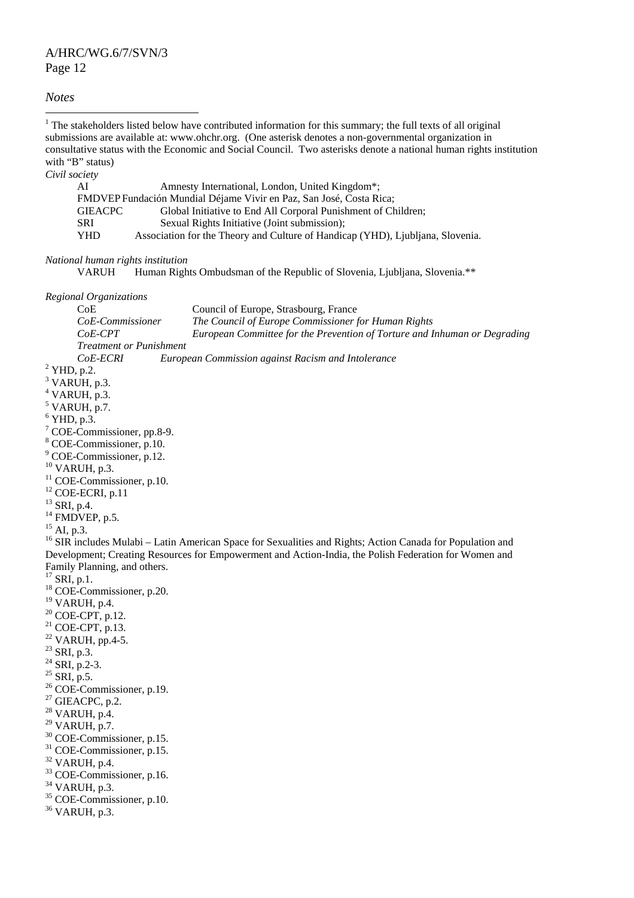#### *Notes*

<sup>1</sup> The stakeholders listed below have contributed information for this summary; the full texts of all original submissions are available at: www.ohchr.org. (One asterisk denotes a non-governmental organization in consultative status with the Economic and Social Council. Two asterisks denote a national human rights institution with "B" status) *Civil society*  AI Amnesty International, London, United Kingdom\*; FMDVEP Fundación Mundial Déjame Vivir en Paz, San José, Costa Rica; GIEACPC Global Initiative to End All Corporal Punishment of Children; SRI Sexual Rights Initiative (Joint submission); YHD Association for the Theory and Culture of Handicap (YHD), Ljubljana, Slovenia. *National human rights institution*  VARUH Human Rights Ombudsman of the Republic of Slovenia, Ljubljana, Slovenia.\*\* *Regional Organizations*  CoE Council of Europe, Strasbourg, France *CoE-Commissioner The Council of Europe Commissioner for Human Rights CoE-CPT European Committee for the Prevention of Torture and Inhuman or Degrading Treatment or Punishment CoE-ECRI European Commission against Racism and Intolerance* <sup>2</sup>  $2$  YHD, p.2.  $3$  VARUH, p.3.  $4$  VARUH, p.3.  $<sup>5</sup>$  VARUH, p.7.</sup>  $6$  YHD, p.3. 7 COE-Commissioner, pp.8-9. 8 COE-Commissioner, p.10. 9 COE-Commissioner, p.12. 10 VARUH, p.3.  $11$  COE-Commissioner, p.10.  $12$  COE-ECRI, p.11 <sup>13</sup> SRI, p.4.  $14$  FMDVEP, p.5. <sup>15</sup> AI, p.3. <sup>16</sup> SIR includes Mulabi – Latin American Space for Sexualities and Rights; Action Canada for Population and Development; Creating Resources for Empowerment and Action-India, the Polish Federation for Women and Family Planning, and others.  $17$  SRI, p.1. 18 COE-Commissioner, p.20. 19 VARUH, p.4.  $20$  COE-CPT, p.12.  $^{21}$  COE-CPT, p.13.  $22$  VARUH, pp.4-5.  $^{23}$  SRI, p.3.  $^{24}$  SRI, p.2-3.  $^{25}$  SRI, p.5. <sup>26</sup> COE-Commissioner, p.19.  $27$  GIEACPC, p.2. 28 VARUH, p.4. 29 VARUH, p.7. 30 COE-Commissioner, p.15. 31 COE-Commissioner, p.15. 32 VARUH, p.4. 33 COE-Commissioner, p.16. 34 VARUH, p.3. 35 COE-Commissioner, p.10. 36 VARUH, p.3.